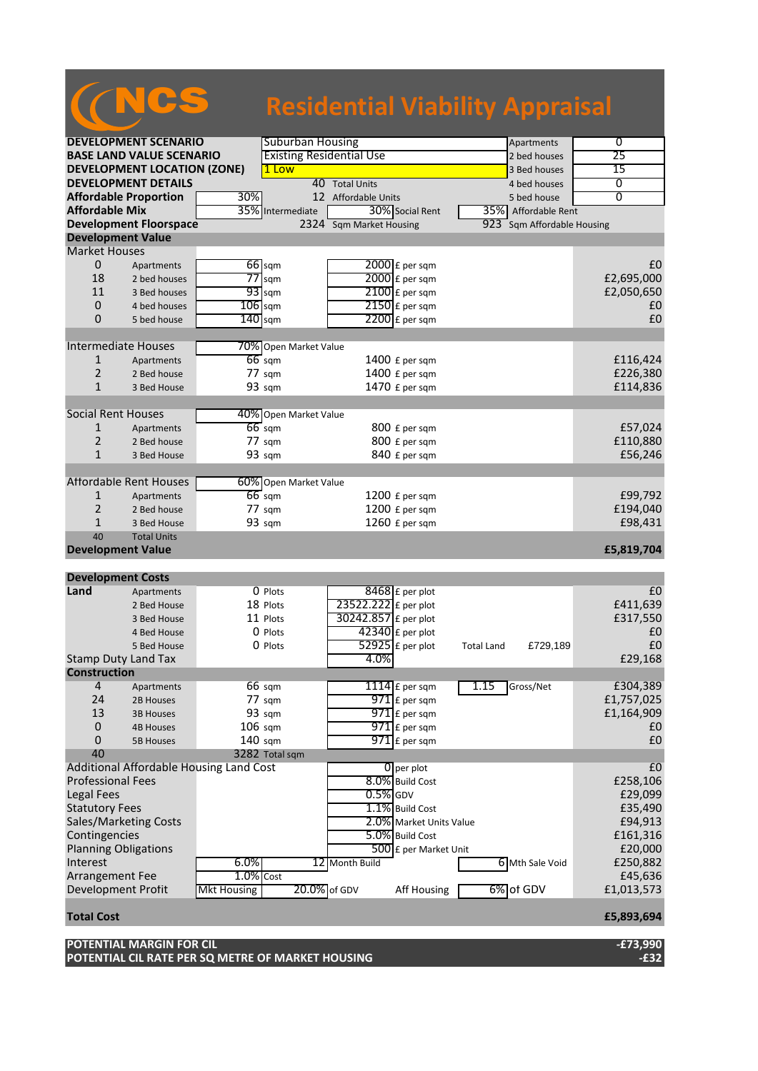## NCS **Residential Viability Appraisal**

| <b>DEVELOPMENT SCENARIO</b>        |                                         | <b>Suburban Housing</b>         |                       | Apartments              | 0                             |                |
|------------------------------------|-----------------------------------------|---------------------------------|-----------------------|-------------------------|-------------------------------|----------------|
| <b>BASE LAND VALUE SCENARIO</b>    |                                         | <b>Existing Residential Use</b> |                       | 2 bed houses            | 25                            |                |
| <b>DEVELOPMENT LOCATION (ZONE)</b> |                                         | 1 Low                           |                       | 3 Bed houses            | 15                            |                |
|                                    | <b>DEVELOPMENT DETAILS</b>              |                                 |                       | 40 Total Units          | 4 bed houses                  | 0              |
|                                    | <b>Affordable Proportion</b>            | 30%                             |                       | 12 Affordable Units     | 5 bed house                   | 0              |
| <b>Affordable Mix</b>              |                                         |                                 | 35% Intermediate      | 30% Social Rent         | 35% Affordable Rent           |                |
|                                    | <b>Development Floorspace</b>           |                                 |                       | 2324 Sqm Market Housing | 923 Sqm Affordable Housing    |                |
| <b>Development Value</b>           |                                         |                                 |                       |                         |                               |                |
| <b>Market Houses</b>               |                                         |                                 |                       |                         |                               |                |
| 0                                  | Apartments                              |                                 | $66$ sqm              | $2000$ £ per sqm        |                               | £0             |
| 18                                 | 2 bed houses                            |                                 | $77$ sqm              | 2000 £ per sqm          |                               | £2,695,000     |
| 11                                 | 3 Bed houses                            |                                 | $93$ sqm              | $2100$ £ per sqm        |                               | £2,050,650     |
| $\mathbf 0$                        | 4 bed houses                            | $106$ sqm                       |                       | $2150$ £ per sqm        |                               | £0             |
| 0                                  | 5 bed house                             | $140$ sqm                       |                       | $2200$ £ per sqm        |                               | £0             |
|                                    |                                         |                                 |                       |                         |                               |                |
| <b>Intermediate Houses</b>         |                                         |                                 | 70% Open Market Value |                         |                               |                |
| $\mathbf{1}$                       | Apartments                              |                                 | $66$ sqm              | $1400 f$ per sqm        |                               | £116,424       |
| 2                                  | 2 Bed house                             |                                 | 77 sqm                | 1400 £ per sqm          |                               | £226,380       |
| $\mathbf{1}$                       | 3 Bed House                             |                                 | 93 sqm                | 1470 £ per sqm          |                               | £114,836       |
|                                    |                                         |                                 |                       |                         |                               |                |
| <b>Social Rent Houses</b>          |                                         |                                 | 40% Open Market Value |                         |                               |                |
| 1                                  | Apartments                              |                                 | $66 \text{ sqm}$      | 800 £ per sqm           |                               | £57,024        |
| $\overline{2}$                     | 2 Bed house                             |                                 | $77 \text{ sqm}$      | 800 £ per sqm           |                               | £110,880       |
| $\mathbf{1}$                       | 3 Bed House                             |                                 | 93 sqm                | 840 £ per sqm           |                               | £56,246        |
|                                    |                                         |                                 |                       |                         |                               |                |
|                                    | <b>Affordable Rent Houses</b>           |                                 | 60% Open Market Value |                         |                               |                |
| 1                                  | Apartments                              |                                 | $66 \text{ sqm}$      | 1200 £ per sqm          |                               | £99,792        |
| $\overline{2}$                     | 2 Bed house                             |                                 | 77 sqm                | 1200 £ per sqm          |                               | £194,040       |
| $\mathbf{1}$                       | 3 Bed House                             |                                 | 93 sqm                | 1260 £ per sqm          |                               | £98,431        |
| 40                                 | <b>Total Units</b>                      |                                 |                       |                         |                               |                |
|                                    |                                         |                                 |                       |                         |                               |                |
| <b>Development Value</b>           |                                         |                                 |                       |                         |                               |                |
|                                    |                                         |                                 |                       |                         |                               | £5,819,704     |
| <b>Development Costs</b>           |                                         |                                 |                       |                         |                               |                |
| Land                               | Apartments                              |                                 | O Plots               | 8468 £ per plot         |                               | £0             |
|                                    | 2 Bed House                             |                                 | 18 Plots              | 23522.222 £ per plot    |                               | £411,639       |
|                                    | 3 Bed House                             |                                 | 11 Plots              | 30242.857 £ per plot    |                               | £317,550       |
|                                    | 4 Bed House                             |                                 | 0 Plots               | $42340$ £ per plot      |                               | £0             |
|                                    | 5 Bed House                             |                                 | 0 Plots               | $52925$ £ per plot      | £729,189<br><b>Total Land</b> | £0             |
| <b>Stamp Duty Land Tax</b>         |                                         |                                 |                       | 4.0%                    |                               | £29,168        |
| <b>Construction</b>                |                                         |                                 |                       |                         |                               |                |
| 4                                  | Apartments                              |                                 | $66 \text{ sqm}$      | $1114$ E per sqm        | 1.15<br>Gross/Net             | £304,389       |
| 24                                 | 2B Houses                               |                                 | 77 sqm                | $971$ £ per sqm         |                               | £1,757,025     |
| 13                                 | <b>3B Houses</b>                        |                                 | 93 sqm                | $971$ $E$ per sqm       |                               | £1,164,909     |
| $\mathbf 0$                        | <b>4B Houses</b>                        | $106$ sqm                       |                       | $971$ $E$ per sqm       |                               | £0             |
| 0                                  | <b>5B Houses</b>                        | 140 sqm                         |                       | $971$ £ per sqm         |                               | £0             |
| 40                                 |                                         |                                 | 3282 Total sqm        |                         |                               |                |
|                                    | Additional Affordable Housing Land Cost |                                 |                       | $\overline{0}$ per plot |                               | E <sub>0</sub> |
| <b>Professional Fees</b>           |                                         |                                 |                       | 8.0% Build Cost         |                               | £258,106       |
| Legal Fees                         |                                         |                                 |                       | $0.5\%$ GDV             |                               | £29,099        |
| <b>Statutory Fees</b>              |                                         |                                 |                       | 1.1% Build Cost         |                               | £35,490        |
|                                    | Sales/Marketing Costs                   |                                 |                       | 2.0% Market Units Value |                               | £94,913        |
| Contingencies                      |                                         |                                 |                       | 5.0% Build Cost         |                               | £161,316       |
| <b>Planning Obligations</b>        |                                         |                                 |                       | 500 £ per Market Unit   |                               | £20,000        |
| Interest                           |                                         | 6.0%                            |                       | 12 Month Build          | 6 Mth Sale Void               | £250,882       |
| Arrangement Fee                    |                                         | $1.0\%$ Cost                    |                       |                         |                               | £45,636        |
| Development Profit                 |                                         | <b>Mkt Housing</b>              | 20.0% of GDV          | <b>Aff Housing</b>      | 6% of GDV                     | £1,013,573     |
| <b>Total Cost</b>                  |                                         |                                 |                       |                         |                               | £5,893,694     |

**POTENTIAL MARGIN FOR CIL -£73,990 POTENTIAL CIL RATE PER SQ METRE OF MARKET HOUSING -£32**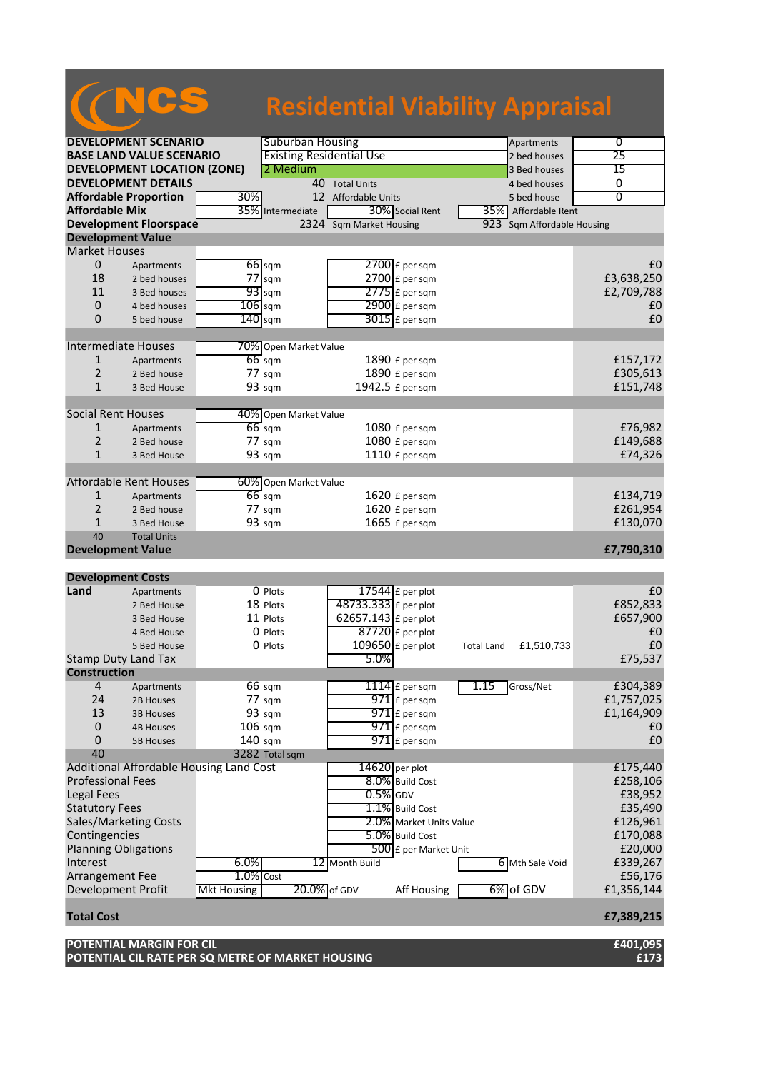## NCS **Residential Viability Appraisal**

| <b>DEVELOPMENT SCENARIO</b>     |                                         |                    | <b>Suburban Housing</b>         |                         | Apartments                      | $\overline{0}$ |
|---------------------------------|-----------------------------------------|--------------------|---------------------------------|-------------------------|---------------------------------|----------------|
| <b>BASE LAND VALUE SCENARIO</b> |                                         |                    | <b>Existing Residential Use</b> |                         | 2 bed houses                    | 25             |
|                                 | <b>DEVELOPMENT LOCATION (ZONE)</b>      |                    | 2 Medium                        |                         | 3 Bed houses                    | 15             |
|                                 | <b>DEVELOPMENT DETAILS</b>              |                    |                                 | 40 Total Units          | 4 bed houses                    | 0              |
|                                 | <b>Affordable Proportion</b>            | 30%                |                                 | 12 Affordable Units     | 5 bed house                     | $\overline{0}$ |
| <b>Affordable Mix</b>           |                                         |                    | 35% Intermediate                | 30% Social Rent         | 35% Affordable Rent             |                |
|                                 | <b>Development Floorspace</b>           |                    |                                 | 2324 Sqm Market Housing | 923 Sqm Affordable Housing      |                |
| <b>Development Value</b>        |                                         |                    |                                 |                         |                                 |                |
| <b>Market Houses</b>            |                                         |                    |                                 |                         |                                 |                |
| 0                               |                                         |                    | $66$ sqm                        | $2700$ £ per sqm        |                                 | £0             |
|                                 | Apartments                              |                    |                                 |                         |                                 |                |
| 18                              | 2 bed houses                            |                    | $77$ sqm                        | $2700$ £ per sqm        |                                 | £3,638,250     |
| 11                              | 3 Bed houses                            |                    | $93$ sqm                        | $2775$ $E$ per sqm      |                                 | £2,709,788     |
| $\mathbf 0$                     | 4 bed houses                            | $106$ sqm          |                                 | $2900$ £ per sqm        |                                 | £0             |
| 0                               | 5 bed house                             | $140$ sqm          |                                 | $3015$ £ per sqm        |                                 | £0             |
|                                 |                                         |                    |                                 |                         |                                 |                |
|                                 | <b>Intermediate Houses</b>              |                    | 70% Open Market Value           |                         |                                 |                |
| 1                               | Apartments                              |                    | $66$ sqm                        | 1890 £ per sqm          |                                 | £157,172       |
| 2                               | 2 Bed house                             |                    | 77 sqm                          | 1890 £ per sqm          |                                 | £305,613       |
| 1                               | 3 Bed House                             |                    | 93 sqm                          | 1942.5 £ per sqm        |                                 | £151,748       |
|                                 |                                         |                    |                                 |                         |                                 |                |
| <b>Social Rent Houses</b>       |                                         |                    | 40% Open Market Value           |                         |                                 |                |
| 1                               | Apartments                              |                    | $66$ sqm                        | 1080 £ per sqm          |                                 | £76,982        |
| $\overline{2}$                  | 2 Bed house                             |                    | 77 sqm                          | 1080 £ per sqm          |                                 | £149,688       |
| $\mathbf{1}$                    | 3 Bed House                             |                    | 93 sqm                          | 1110 £ per sqm          |                                 | £74,326        |
|                                 |                                         |                    |                                 |                         |                                 |                |
|                                 |                                         |                    |                                 |                         |                                 |                |
|                                 | <b>Affordable Rent Houses</b>           |                    | 60% Open Market Value           |                         |                                 |                |
| $\mathbf{1}$                    | Apartments                              |                    | $66$ sqm                        | 1620 £ per sqm          |                                 | £134,719       |
| 2                               | 2 Bed house                             |                    | 77 sqm                          | 1620 £ per sqm          |                                 | £261,954       |
| $\mathbf 1$                     | 3 Bed House                             |                    | 93 sqm                          | 1665 $E$ per sqm        |                                 | £130,070       |
| 40                              | <b>Total Units</b>                      |                    |                                 |                         |                                 |                |
|                                 | <b>Development Value</b>                |                    |                                 |                         |                                 | £7,790,310     |
|                                 |                                         |                    |                                 |                         |                                 |                |
|                                 |                                         |                    |                                 |                         |                                 |                |
| <b>Development Costs</b>        |                                         |                    |                                 |                         |                                 |                |
| Land                            | Apartments                              |                    | 0 Plots                         | 17544 $E$ per plot      |                                 | £0             |
|                                 | 2 Bed House                             |                    | 18 Plots                        | 48733.333 £ per plot    |                                 | £852,833       |
|                                 | 3 Bed House                             |                    | 11 Plots                        |                         |                                 |                |
|                                 | 4 Bed House                             |                    | 0 Plots                         | 62657.143 £ per plot    |                                 | £657,900<br>£0 |
|                                 |                                         |                    |                                 | $87720$ £ per plot      |                                 |                |
|                                 | 5 Bed House                             |                    | 0 Plots                         | $109650$ £ per plot     | £1,510,733<br><b>Total Land</b> | £0             |
|                                 | <b>Stamp Duty Land Tax</b>              |                    |                                 | 5.0%                    |                                 | £75,537        |
| <b>Construction</b>             |                                         |                    |                                 |                         |                                 |                |
| 4                               | Apartments                              |                    | 66 sqm                          | 1114 $E$ per sqm        | 1.15<br>Gross/Net               | £304,389       |
| 24                              | 2B Houses                               |                    | 77 sqm                          | 971 £ per sqm           |                                 | £1,757,025     |
| 13                              | <b>3B Houses</b>                        |                    | 93 sqm                          | $971$ E per sqm         |                                 | £1,164,909     |
| $\mathbf 0$                     | <b>4B Houses</b>                        | $106$ sqm          |                                 | $971$ £ per sqm         |                                 | £0             |
| 0                               | <b>5B Houses</b>                        | 140 sqm            |                                 | $971$ E per sqm         |                                 | £0             |
| 40                              |                                         |                    | 3282 Total sqm                  |                         |                                 |                |
|                                 | Additional Affordable Housing Land Cost |                    |                                 | $14620$ per plot        |                                 | £175,440       |
| <b>Professional Fees</b>        |                                         |                    |                                 | 8.0% Build Cost         |                                 | £258,106       |
| <b>Legal Fees</b>               |                                         |                    |                                 | $0.5\%$ GDV             |                                 | £38,952        |
| <b>Statutory Fees</b>           |                                         |                    |                                 | 1.1% Build Cost         |                                 |                |
|                                 |                                         |                    |                                 |                         |                                 | £35,490        |
|                                 | Sales/Marketing Costs                   |                    |                                 | 2.0% Market Units Value |                                 | £126,961       |
| Contingencies                   |                                         |                    |                                 | 5.0% Build Cost         |                                 | £170,088       |
|                                 | <b>Planning Obligations</b>             |                    |                                 | 500 £ per Market Unit   |                                 | £20,000        |
| Interest                        |                                         | 6.0%               |                                 | 12 Month Build          | 6 Mth Sale Void                 | £339,267       |
| Arrangement Fee                 |                                         | $1.0\%$ Cost       |                                 |                         |                                 | £56,176        |
| Development Profit              |                                         | <b>Mkt Housing</b> | 20.0% of GDV                    | Aff Housing             | 6% of GDV                       | £1,356,144     |
|                                 |                                         |                    |                                 |                         |                                 |                |
|                                 |                                         |                    |                                 |                         |                                 | £7,389,215     |
| <b>Total Cost</b>               | POTENTIAL MARGIN FOR CIL                |                    |                                 |                         |                                 | £401,095       |

**POTENTIAL CIL RATE PER SQ METRE OF MARKET HOUSING £173**